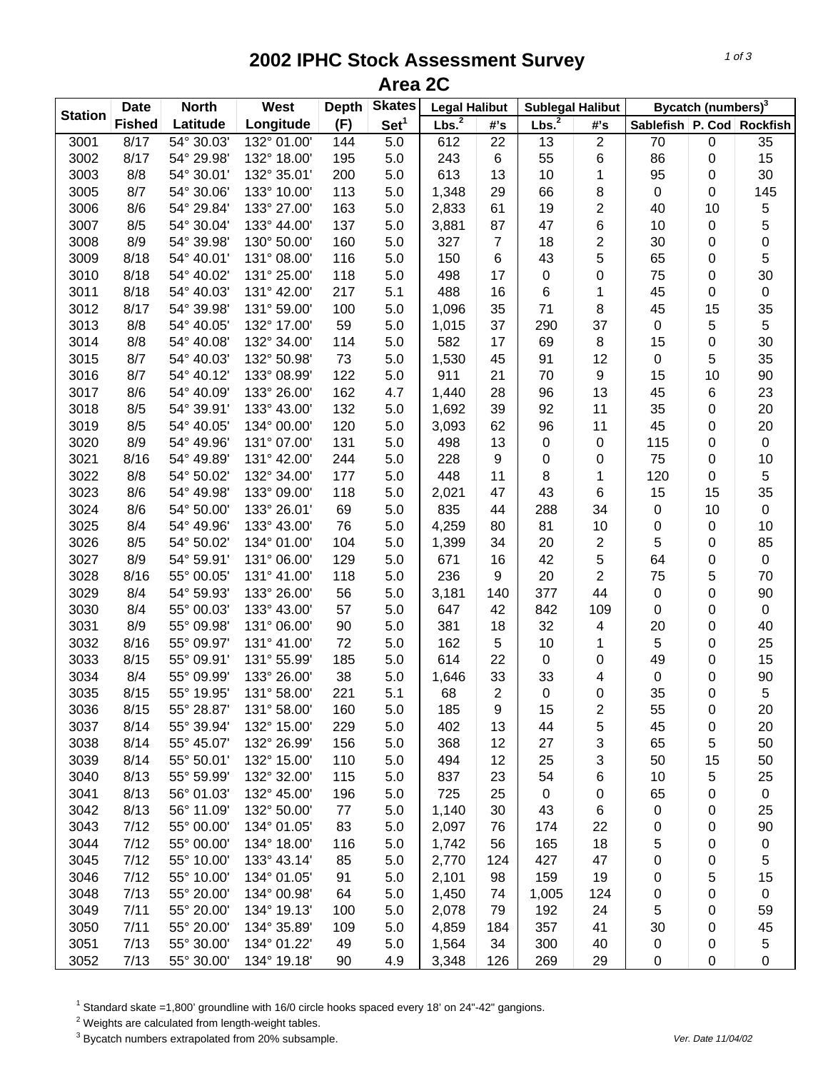## **2002 IPHC Stock Assessment Survey Area 2C**

|                | <b>North</b><br><b>Date</b> |            | <b>West</b> | <b>Depth</b> | <b>Skates</b>    | <b>Legal Halibut</b> |                | <b>Sublegal Halibut</b> |                         | Bycatch (numbers) <sup>3</sup> |    |             |
|----------------|-----------------------------|------------|-------------|--------------|------------------|----------------------|----------------|-------------------------|-------------------------|--------------------------------|----|-------------|
| <b>Station</b> | <b>Fished</b>               | Latitude   | Longitude   | (F)          | Set <sup>1</sup> | Lbs. <sup>2</sup>    | #'s            | Lbs. <sup>2</sup>       | #'s                     | Sablefish   P. Cod   Rockfish  |    |             |
| 3001           | 8/17                        | 54° 30.03' | 132° 01.00' | 144          | 5.0              | 612                  | 22             | 13                      | $\overline{2}$          | 70                             | 0  | 35          |
| 3002           | 8/17                        | 54° 29.98' | 132° 18.00' | 195          | 5.0              | 243                  | 6              | 55                      | 6                       | 86                             | 0  | 15          |
| 3003           | 8/8                         | 54° 30.01' | 132° 35.01' | 200          | 5.0              | 613                  | 13             | 10                      | 1                       | 95                             | 0  | 30          |
| 3005           | 8/7                         | 54° 30.06' | 133° 10.00' | 113          | 5.0              | 1,348                | 29             | 66                      | 8                       | $\pmb{0}$                      | 0  | 145         |
| 3006           | 8/6                         | 54° 29.84' | 133° 27.00' | 163          | 5.0              | 2,833                | 61             | 19                      | $\overline{c}$          | 40                             | 10 | 5           |
| 3007           | 8/5                         | 54° 30.04' | 133° 44.00' | 137          | 5.0              | 3,881                | 87             | 47                      | 6                       | 10                             | 0  | 5           |
| 3008           | 8/9                         | 54° 39.98' | 130° 50.00' | 160          | 5.0              | 327                  | $\overline{7}$ | 18                      | $\overline{\mathbf{c}}$ | 30                             | 0  | 0           |
| 3009           | 8/18                        | 54° 40.01' | 131° 08.00' | 116          | 5.0              | 150                  | 6              | 43                      | 5                       | 65                             | 0  | 5           |
| 3010           | 8/18                        | 54° 40.02' | 131° 25.00' | 118          | 5.0              | 498                  | 17             | $\pmb{0}$               | 0                       | 75                             | 0  | 30          |
| 3011           | 8/18                        | 54° 40.03' | 131° 42.00' | 217          | 5.1              | 488                  | 16             | $\,6$                   | 1                       | 45                             | 0  | $\pmb{0}$   |
| 3012           | 8/17                        | 54° 39.98' | 131° 59.00' | 100          | 5.0              | 1,096                | 35             | 71                      | 8                       | 45                             | 15 | 35          |
| 3013           | 8/8                         | 54° 40.05' | 132° 17.00' | 59           | 5.0              | 1,015                | 37             | 290                     | 37                      | 0                              | 5  | $\mathbf 5$ |
| 3014           | 8/8                         | 54° 40.08' | 132° 34.00' | 114          | 5.0              | 582                  | 17             | 69                      | 8                       | 15                             | 0  | 30          |
| 3015           | 8/7                         | 54° 40.03' | 132° 50.98' | 73           | 5.0              | 1,530                | 45             | 91                      | 12                      | $\pmb{0}$                      | 5  | 35          |
| 3016           | 8/7                         | 54° 40.12' | 133° 08.99' | 122          | 5.0              | 911                  | 21             | 70                      | 9                       | 15                             | 10 | 90          |
| 3017           | 8/6                         | 54° 40.09' | 133° 26.00' | 162          | 4.7              | 1,440                | 28             | 96                      | 13                      | 45                             | 6  | 23          |
| 3018           | 8/5                         | 54° 39.91' | 133° 43.00' | 132          | 5.0              | 1,692                | 39             | 92                      | 11                      | 35                             | 0  | 20          |
| 3019           | 8/5                         | 54° 40.05' | 134° 00.00' | 120          | 5.0              | 3,093                | 62             | 96                      | 11                      | 45                             | 0  | 20          |
| 3020           | 8/9                         | 54° 49.96' | 131° 07.00' | 131          | 5.0              | 498                  | 13             | $\boldsymbol{0}$        | $\pmb{0}$               | 115                            | 0  | $\pmb{0}$   |
| 3021           | 8/16                        | 54° 49.89' | 131° 42.00' | 244          | 5.0              | 228                  | 9              | 0                       | 0                       | 75                             | 0  | 10          |
| 3022           | 8/8                         | 54° 50.02' | 132° 34.00' | 177          | 5.0              | 448                  | 11             | 8                       | 1                       | 120                            | 0  | 5           |
| 3023           | 8/6                         | 54° 49.98' | 133° 09.00' | 118          | 5.0              | 2,021                | 47             | 43                      | 6                       | 15                             | 15 | 35          |
| 3024           | 8/6                         | 54° 50.00' | 133° 26.01' | 69           | 5.0              | 835                  | 44             | 288                     | 34                      | $\pmb{0}$                      | 10 | $\pmb{0}$   |
| 3025           | 8/4                         | 54° 49.96' | 133° 43.00' | 76           | 5.0              | 4,259                | 80             | 81                      | 10                      | $\pmb{0}$                      | 0  | 10          |
| 3026           | 8/5                         | 54° 50.02' | 134° 01.00' | 104          | 5.0              | 1,399                | 34             | 20                      | $\overline{c}$          | 5                              | 0  | 85          |
| 3027           | 8/9                         | 54° 59.91' | 131° 06.00' | 129          | 5.0              | 671                  | 16             | 42                      | 5                       | 64                             | 0  | $\pmb{0}$   |
| 3028           | 8/16                        | 55° 00.05' | 131° 41.00' | 118          | 5.0              | 236                  | 9              | 20                      | $\overline{2}$          | 75                             | 5  | 70          |
| 3029           | 8/4                         | 54° 59.93' | 133° 26.00' | 56           | 5.0              | 3,181                | 140            | 377                     | 44                      | $\pmb{0}$                      | 0  | 90          |
| 3030           | 8/4                         | 55° 00.03' | 133° 43.00' | 57           | 5.0              | 647                  | 42             | 842                     | 109                     | 0                              | 0  | $\pmb{0}$   |
| 3031           | 8/9                         | 55° 09.98' | 131° 06.00' | 90           | 5.0              | 381                  | 18             | 32                      | 4                       | 20                             | 0  | 40          |
| 3032           | 8/16                        | 55° 09.97' | 131° 41.00' | 72           | 5.0              | 162                  | 5              | 10                      | 1                       | 5                              | 0  | 25          |
| 3033           | 8/15                        | 55° 09.91' | 131° 55.99' | 185          | 5.0              | 614                  | 22             | $\boldsymbol{0}$        | 0                       | 49                             | 0  | 15          |
| 3034           | 8/4                         | 55° 09.99' | 133° 26.00' | 38           | 5.0              | 1,646                | 33             | 33                      | 4                       | 0                              | 0  | 90          |
| 3035           | 8/15                        | 55° 19.95' | 131° 58.00' | 221          | 5.1              | 68                   | $\overline{2}$ | $\mathbf 0$             | 0                       | 35                             | 0  | $\sqrt{5}$  |
| 3036           | 8/15                        | 55° 28.87' | 131° 58.00' | 160          | 5.0              | 185                  | 9              | 15                      | 2                       | 55                             | 0  | 20          |
| 3037           | 8/14                        | 55° 39.94' | 132° 15.00' | 229          | 5.0              | 402                  | 13             | 44                      | 5                       | 45                             | 0  | 20          |
| 3038           | 8/14                        | 55° 45.07' | 132° 26.99' | 156          | 5.0              | 368                  | 12             | 27                      | 3                       | 65                             | 5  | 50          |
| 3039           | 8/14                        | 55° 50.01' | 132° 15.00' | 110          | 5.0              | 494                  | 12             | 25                      | 3                       | 50                             | 15 | 50          |
| 3040           | 8/13                        | 55° 59.99' | 132° 32.00' | 115          | 5.0              | 837                  | 23             | 54                      | 6                       | 10                             | 5  | 25          |
| 3041           | 8/13                        | 56° 01.03' | 132° 45.00' | 196          | 5.0              | 725                  | 25             | 0                       | 0                       | 65                             | 0  | $\pmb{0}$   |
| 3042           | 8/13                        | 56° 11.09' | 132° 50.00' | 77           | 5.0              | 1,140                | 30             | 43                      | 6                       | 0                              | 0  | 25          |
| 3043           | 7/12                        | 55° 00.00' | 134° 01.05' | 83           | 5.0              | 2,097                | 76             | 174                     | 22                      | 0                              | 0  | 90          |
| 3044           | 7/12                        | 55° 00.00' | 134° 18.00' | 116          | 5.0              | 1,742                | 56             | 165                     | 18                      | 5                              | 0  | $\pmb{0}$   |
| 3045           | 7/12                        | 55° 10.00' | 133° 43.14' | 85           | 5.0              | 2,770                | 124            | 427                     | 47                      | 0                              | 0  | 5           |
| 3046           | 7/12                        | 55° 10.00' | 134° 01.05' | 91           | 5.0              | 2,101                | 98             | 159                     | 19                      | 0                              | 5  | 15          |
| 3048           | 7/13                        | 55° 20.00' | 134° 00.98' | 64           | 5.0              | 1,450                | 74             | 1,005                   | 124                     | 0                              | 0  | 0           |
| 3049           | 7/11                        | 55° 20.00' | 134° 19.13' | 100          | 5.0              | 2,078                | 79             | 192                     | 24                      | 5                              | 0  | 59          |
| 3050           | 7/11                        | 55° 20.00' | 134° 35.89' | 109          | 5.0              | 4,859                | 184            | 357                     | 41                      | 30                             | 0  | 45          |
| 3051           | 7/13                        | 55° 30.00' | 134° 01.22' | 49           | 5.0              | 1,564                | 34             | 300                     | 40                      | 0                              | 0  | 5           |
| 3052           | 7/13                        | 55° 30.00' | 134° 19.18' | 90           | 4.9              | 3,348                | 126            | 269                     | 29                      | $\pmb{0}$                      | 0  | 0           |

<sup>1</sup> Standard skate =1,800' groundline with 16/0 circle hooks spaced every 18' on 24"-42" gangions.

 $2$  Weights are calculated from length-weight tables.

<sup>3</sup> Bycatch numbers extrapolated from 20% subsample. We also a strategies and the vertext of the 11/04/02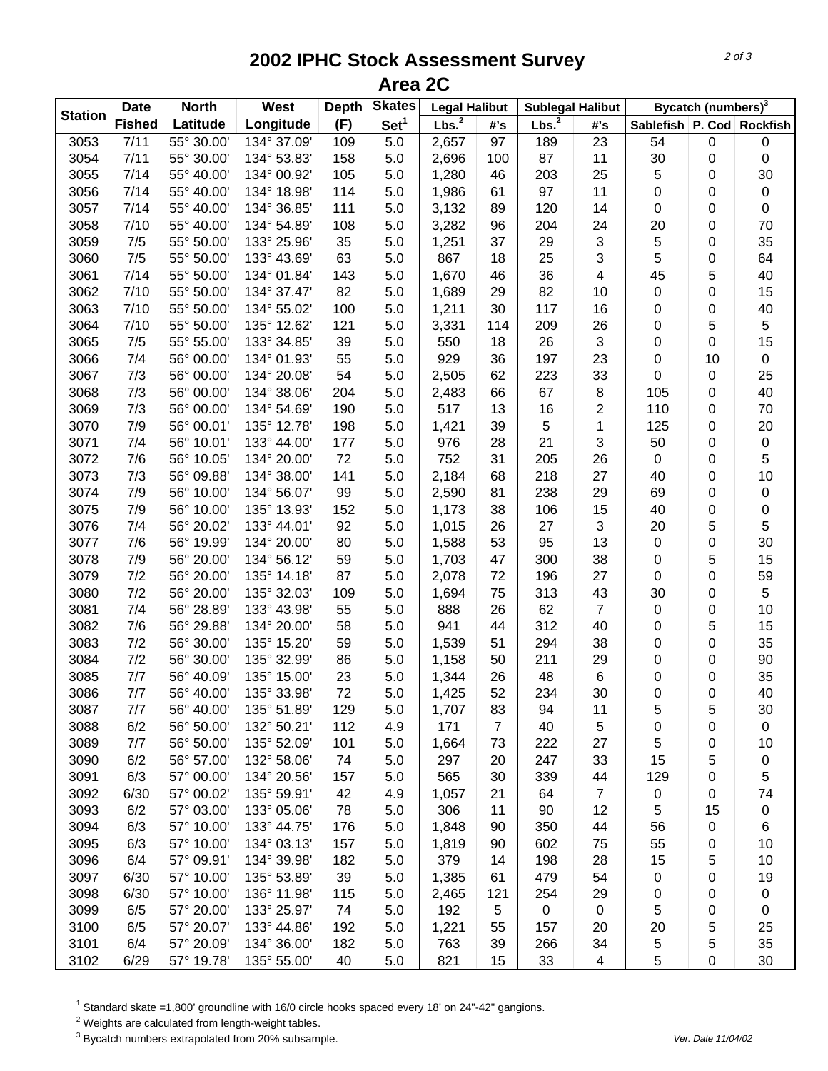## **2002 IPHC Stock Assessment Survey Area 2C**

|                | <b>Date</b>   | <b>North</b> | West        | <b>Depth</b> | <b>Skates</b>    | <b>Legal Halibut</b> |                | <b>Sublegal Halibut</b> |                           | Bycatch (numbers) <sup>3</sup> |           |             |
|----------------|---------------|--------------|-------------|--------------|------------------|----------------------|----------------|-------------------------|---------------------------|--------------------------------|-----------|-------------|
| <b>Station</b> | <b>Fished</b> | Latitude     | Longitude   | (F)          | Set <sup>1</sup> | Lbs. <sup>2</sup>    | #s             | Lbs. <sup>2</sup>       | #s                        | Sablefish   P. Cod   Rockfish  |           |             |
| 3053           | 7/11          | 55° 30.00'   | 134° 37.09' | 109          | 5.0              | 2,657                | 97             | 189                     | 23                        | 54                             | $\pmb{0}$ | 0           |
| 3054           | 7/11          | 55° 30.00'   | 134° 53.83' | 158          | 5.0              | 2,696                | 100            | 87                      | 11                        | 30                             | 0         | $\mathbf 0$ |
| 3055           | 7/14          | 55° 40.00'   | 134° 00.92' | 105          | 5.0              | 1,280                | 46             | 203                     | 25                        | 5                              | 0         | 30          |
| 3056           | 7/14          | 55° 40.00'   | 134° 18.98' | 114          | 5.0              | 1,986                | 61             | 97                      | 11                        | $\pmb{0}$                      | 0         | $\pmb{0}$   |
| 3057           | 7/14          | 55° 40.00'   | 134° 36.85' | 111          | 5.0              | 3,132                | 89             | 120                     | 14                        | $\pmb{0}$                      | 0         | $\pmb{0}$   |
| 3058           | 7/10          | 55° 40.00'   | 134° 54.89' | 108          | 5.0              | 3,282                | 96             | 204                     | 24                        | 20                             | 0         | 70          |
| 3059           | 7/5           | 55° 50.00'   | 133° 25.96' | 35           | 5.0              | 1,251                | 37             | 29                      | $\sqrt{3}$                | 5                              | 0         | 35          |
| 3060           | 7/5           | 55° 50.00'   | 133° 43.69' | 63           | 5.0              | 867                  | 18             | 25                      | 3                         | 5                              | 0         | 64          |
| 3061           | 7/14          | 55° 50.00'   | 134° 01.84' | 143          | 5.0              | 1,670                | 46             | 36                      | $\overline{\mathbf{4}}$   | 45                             | 5         | 40          |
| 3062           | 7/10          | 55° 50.00'   | 134° 37.47' | 82           | 5.0              | 1,689                | 29             | 82                      | 10                        | $\pmb{0}$                      | 0         | 15          |
| 3063           | 7/10          | 55° 50.00'   | 134° 55.02' | 100          | 5.0              | 1,211                | 30             | 117                     | 16                        | $\pmb{0}$                      | 0         | 40          |
| 3064           | 7/10          | 55° 50.00'   | 135° 12.62' | 121          | 5.0              | 3,331                | 114            | 209                     | 26                        | 0                              | 5         | 5           |
| 3065           | 7/5           | 55° 55.00'   | 133° 34.85' | 39           | 5.0              | 550                  | 18             | 26                      | $\ensuremath{\mathsf{3}}$ | $\pmb{0}$                      | 0         | 15          |
| 3066           | 7/4           | 56° 00.00'   | 134° 01.93' | 55           | 5.0              | 929                  | 36             | 197                     | 23                        | 0                              | 10        | $\pmb{0}$   |
| 3067           | 7/3           | 56° 00.00'   | 134° 20.08' | 54           | 5.0              | 2,505                | 62             | 223                     | 33                        | 0                              | 0         | 25          |
| 3068           | 7/3           | 56° 00.00'   | 134° 38.06' | 204          | 5.0              | 2,483                | 66             | 67                      | 8                         | 105                            | 0         | 40          |
| 3069           | 7/3           | 56° 00.00'   | 134° 54.69' | 190          | 5.0              | 517                  | 13             | 16                      | $\overline{\mathbf{c}}$   | 110                            | 0         | 70          |
| 3070           | 7/9           | 56° 00.01'   | 135° 12.78' | 198          | 5.0              | 1,421                | 39             | 5                       | 1                         | 125                            | 0         | 20          |
| 3071           | 7/4           | 56° 10.01'   | 133° 44.00' | 177          | 5.0              | 976                  | 28             | 21                      | $\sqrt{3}$                | 50                             | 0         | $\pmb{0}$   |
| 3072           | 7/6           | 56° 10.05'   | 134° 20.00' | 72           | 5.0              | 752                  | 31             | 205                     | 26                        | $\mathbf 0$                    | 0         | 5           |
| 3073           | 7/3           | 56° 09.88'   | 134° 38.00' | 141          | 5.0              | 2,184                | 68             | 218                     | 27                        | 40                             | 0         | $10$        |
| 3074           | 7/9           | 56° 10.00'   | 134° 56.07' | 99           | 5.0              | 2,590                | 81             | 238                     | 29                        | 69                             | 0         | $\pmb{0}$   |
| 3075           | 7/9           | 56° 10.00'   | 135° 13.93' | 152          | 5.0              | 1,173                | 38             | 106                     | 15                        | 40                             | 0         | $\pmb{0}$   |
| 3076           | 7/4           | 56° 20.02'   | 133° 44.01' | 92           | 5.0              | 1,015                | 26             | 27                      | 3                         | 20                             | 5         | 5           |
| 3077           | 7/6           | 56° 19.99'   | 134° 20.00' | 80           | 5.0              | 1,588                | 53             | 95                      | 13                        | $\pmb{0}$                      | 0         | 30          |
| 3078           | 7/9           | 56° 20.00'   | 134° 56.12' | 59           | 5.0              | 1,703                | 47             | 300                     | 38                        | $\pmb{0}$                      | 5         | 15          |
| 3079           | 7/2           | 56° 20.00'   | 135° 14.18' | 87           | 5.0              | 2,078                | 72             | 196                     | 27                        | $\pmb{0}$                      | 0         | 59          |
| 3080           | 7/2           | 56° 20.00'   | 135° 32.03' | 109          | 5.0              | 1,694                | 75             | 313                     | 43                        | 30                             | 0         | 5           |
| 3081           | 7/4           | 56° 28.89'   | 133° 43.98' | 55           | 5.0              | 888                  | 26             | 62                      | $\overline{7}$            | $\pmb{0}$                      | 0         | 10          |
| 3082           | 7/6           | 56° 29.88'   | 134° 20.00' | 58           | 5.0              | 941                  | 44             | 312                     | 40                        | 0                              | 5         | 15          |
| 3083           | 7/2           | 56° 30.00'   | 135° 15.20' | 59           | 5.0              | 1,539                | 51             | 294                     | 38                        | 0                              | 0         | 35          |
| 3084           | 7/2           | 56° 30.00'   | 135° 32.99' | 86           | 5.0              | 1,158                | 50             | 211                     | 29                        | 0                              | 0         | 90          |
| 3085           | 7/7           | 56° 40.09'   | 135° 15.00' | 23           | 5.0              | 1,344                | 26             | 48                      | $\,6$                     | 0                              | 0         | 35          |
| 3086           | 7/7           | 56° 40.00'   | 135° 33.98' | 72           | 5.0              | 1,425                | 52             | 234                     | 30                        | 0                              | 0         | 40          |
| 3087           | 7/7           | 56° 40.00'   | 135° 51.89' | 129          | 5.0              | 1,707                | 83             | 94                      | 11                        | 5                              | 5         | 30          |
| 3088           | 6/2           | 56° 50.00'   | 132° 50.21' | 112          | 4.9              | 171                  | $\overline{7}$ | 40                      | 5                         | 0                              | 0         | 0           |
| 3089           | 7/7           | 56° 50.00'   | 135° 52.09' | 101          | 5.0              | 1,664                | 73             | 222                     | 27                        | 5                              | 0         | 10          |
| 3090           | 6/2           | 56° 57.00'   | 132° 58.06' | 74           | 5.0              | 297                  | 20             | 247                     | 33                        | 15                             | 5         | $\pmb{0}$   |
| 3091           | 6/3           | 57° 00.00'   | 134° 20.56' | 157          | 5.0              | 565                  | 30             | 339                     | 44                        | 129                            | 0         | 5           |
| 3092           | 6/30          | 57° 00.02'   | 135° 59.91' | 42           | 4.9              | 1,057                | 21             | 64                      | $\overline{7}$            | 0                              | 0         | 74          |
| 3093           | 6/2           | 57° 03.00'   | 133° 05.06' | 78           | 5.0              | 306                  | 11             | 90                      | 12                        | 5                              | 15        | $\pmb{0}$   |
| 3094           | 6/3           | 57° 10.00'   | 133° 44.75' | 176          | 5.0              | 1,848                | 90             | 350                     | 44                        | 56                             | 0         | 6           |
| 3095           | 6/3           | 57° 10.00'   | 134° 03.13' | 157          | 5.0              | 1,819                | 90             | 602                     | 75                        | 55                             | 0         | 10          |
| 3096           | 6/4           | 57° 09.91'   | 134° 39.98' | 182          | 5.0              | 379                  | 14             | 198                     | 28                        | 15                             | 5         | 10          |
| 3097           | 6/30          | 57° 10.00'   | 135° 53.89' | 39           | 5.0              | 1,385                | 61             | 479                     | 54                        | 0                              | 0         | 19          |
| 3098           | 6/30          | 57° 10.00'   | 136° 11.98' | 115          | 5.0              | 2,465                | 121            | 254                     | 29                        | 0                              | 0         | 0           |
| 3099           | 6/5           | 57° 20.00'   | 133° 25.97' | 74           | 5.0              | 192                  | 5              | 0                       | 0                         | 5                              | 0         | 0           |
| 3100           | 6/5           | 57° 20.07'   | 133° 44.86' | 192          | 5.0              | 1,221                | 55             | 157                     | 20                        | 20                             | 5         | 25          |
| 3101           | 6/4           | 57° 20.09'   | 134° 36.00' | 182          | 5.0              | 763                  | 39             | 266                     | 34                        | 5                              | 5         | 35          |
| 3102           | 6/29          | 57° 19.78'   | 135° 55.00' | 40           | 5.0              | 821                  | 15             | 33                      | 4                         | 5                              | 0         | 30          |

<sup>1</sup> Standard skate =1,800' groundline with 16/0 circle hooks spaced every 18' on 24"-42" gangions.

 $2$  Weights are calculated from length-weight tables.

<sup>3</sup> Bycatch numbers extrapolated from 20% subsample. We also a strategies and the vertext of the 11/04/02